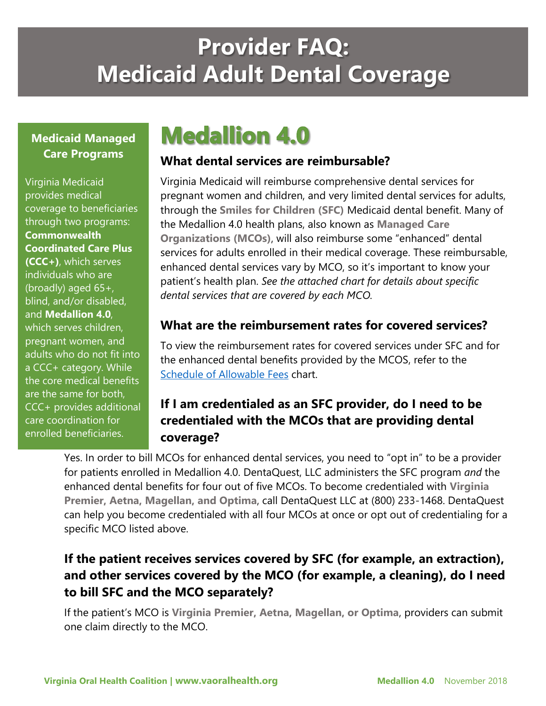# **Provider FAQ: Medicaid Adult Dental Coverage**

#### **Medicaid Managed Care Programs**

Virginia Medicaid provides medical coverage to beneficiaries through two programs: **Commonwealth Coordinated Care Plus (CCC+)**, which serves individuals who are (broadly) aged 65+, blind, and/or disabled, and **Medallion 4.0**, which serves children, pregnant women, and adults who do not fit into a CCC+ category. While the core medical benefits are the same for both, CCC+ provides additional care coordination for enrolled beneficiaries.

## **Medallion 4.0**

#### **What dental services are reimbursable?**

Virginia Medicaid will reimburse comprehensive dental services for pregnant women and children, and very limited dental services for adults, through the **Smiles for Children (SFC)** Medicaid dental benefit. Many of the Medallion 4.0 health plans, also known as **Managed Care Organizations (MCOs)**, will also reimburse some "enhanced" dental services for adults enrolled in their medical coverage. These reimbursable, enhanced dental services vary by MCO, so it's important to know your patient's health plan. *See the attached chart for details about specific dental services that are covered by each MCO.*

#### **What are the reimbursement rates for covered services?**

To view the reimbursement rates for covered services under SFC and for the enhanced dental benefits provided by the MCOS, refer to the [Schedule of Allowable Fees](https://www.vaoralhealth.org/wp-content/uploads/2018/11/180330-VA-Smiles-For-Children-Fee-Schedule-10.18.pdf) chart.

## **If I am credentialed as an SFC provider, do I need to be credentialed with the MCOs that are providing dental coverage?**

Yes. In order to bill MCOs for enhanced dental services, you need to "opt in" to be a provider for patients enrolled in Medallion 4.0. DentaQuest, LLC administers the SFC program *and* the enhanced dental benefits for four out of five MCOs. To become credentialed with **Virginia Premier, Aetna, Magellan, and Optima**, call DentaQuest LLC at (800) 233-1468. DentaQuest can help you become credentialed with all four MCOs at once or opt out of credentialing for a specific MCO listed above.

## **If the patient receives services covered by SFC (for example, an extraction), and other services covered by the MCO (for example, a cleaning), do I need to bill SFC and the MCO separately?**

If the patient's MCO is **Virginia Premier, Aetna, Magellan, or Optima**, providers can submit one claim directly to the MCO.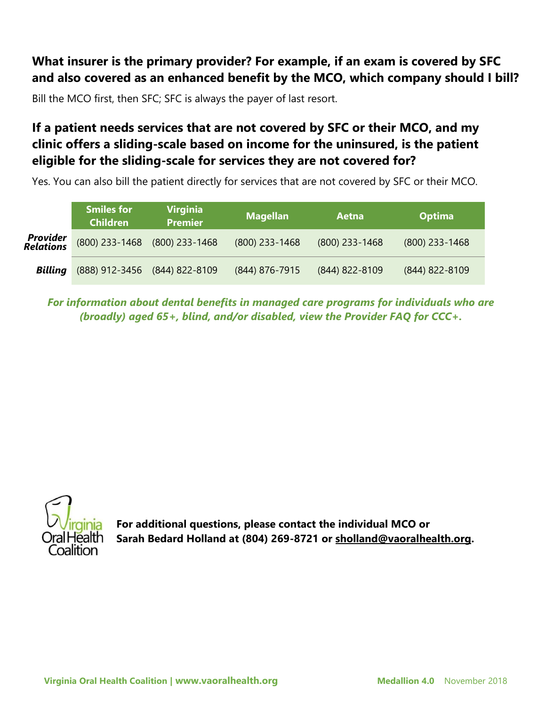### **What insurer is the primary provider? For example, if an exam is covered by SFC and also covered as an enhanced benefit by the MCO, which company should I bill?**

Bill the MCO first, then SFC; SFC is always the payer of last resort.

## **If a patient needs services that are not covered by SFC or their MCO, and my clinic offers a sliding-scale based on income for the uninsured, is the patient eligible for the sliding-scale for services they are not covered for?**

Yes. You can also bill the patient directly for services that are not covered by SFC or their MCO.

|                                     | <b>Smiles for</b><br><b>Children</b> | <b>Virginia</b><br><b>Premier</b> | <b>Magellan</b>  | Aetna            | <b>Optima</b>    |  |
|-------------------------------------|--------------------------------------|-----------------------------------|------------------|------------------|------------------|--|
| <b>Provider</b><br><b>Relations</b> | $(800)$ 233-1468                     | $(800)$ 233-1468                  | $(800)$ 233-1468 | $(800)$ 233-1468 | $(800)$ 233-1468 |  |
| <b>Billing</b>                      | (888) 912-3456                       | $(844)$ 822-8109                  | (844) 876-7915   | (844) 822-8109   | (844) 822-8109   |  |

*For information about dental benefits in managed care programs for individuals who are (broadly) aged 65+, blind, and/or disabled, view the Provider FAQ for CCC+.*



**For additional questions, please contact the individual MCO or Sarah Bedard Holland at (804) 269-8721 or sholland@vaoralhealth.org.**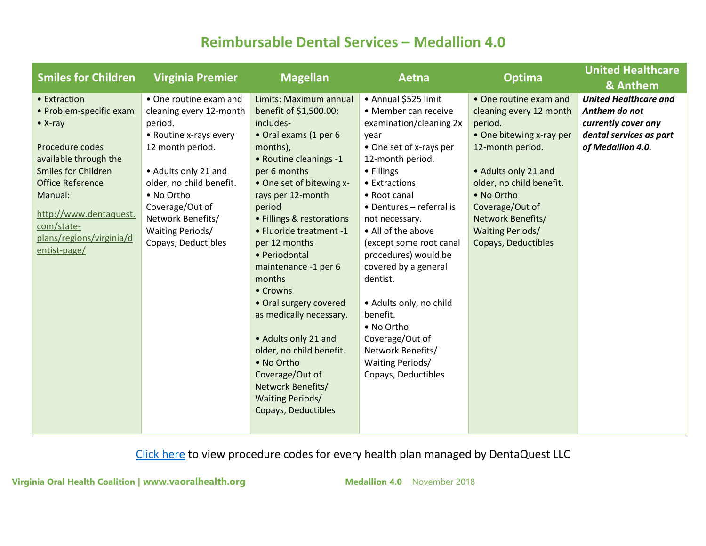## **Reimbursable Dental Services – Medallion 4.0**

| <b>Smiles for Children</b> | <b>Virginia Premier</b>  | <b>Magellan</b>           | Aetna                    | <b>Optima</b>            | <b>United Healthcare</b>     |
|----------------------------|--------------------------|---------------------------|--------------------------|--------------------------|------------------------------|
|                            |                          |                           |                          |                          | & Anthem                     |
| • Extraction               | • One routine exam and   | Limits: Maximum annual    | • Annual \$525 limit     | • One routine exam and   | <b>United Healthcare and</b> |
| • Problem-specific exam    | cleaning every 12-month  | benefit of \$1,500.00;    | • Member can receive     | cleaning every 12 month  | Anthem do not                |
| $\bullet$ X-ray            | period.                  | includes-                 | examination/cleaning 2x  | period.                  | currently cover any          |
|                            | • Routine x-rays every   | • Oral exams (1 per 6     | year                     | • One bitewing x-ray per | dental services as part      |
| Procedure codes            | 12 month period.         | months),                  | • One set of x-rays per  | 12-month period.         | of Medallion 4.0.            |
| available through the      |                          | • Routine cleanings -1    | 12-month period.         |                          |                              |
| <b>Smiles for Children</b> | • Adults only 21 and     | per 6 months              | • Fillings               | • Adults only 21 and     |                              |
| <b>Office Reference</b>    | older, no child benefit. | • One set of bitewing x-  | • Extractions            | older, no child benefit. |                              |
| Manual:                    | • No Ortho               | rays per 12-month         | • Root canal             | • No Ortho               |                              |
| http://www.dentaquest.     | Coverage/Out of          | period                    | • Dentures - referral is | Coverage/Out of          |                              |
| com/state-                 | Network Benefits/        | • Fillings & restorations | not necessary.           | Network Benefits/        |                              |
| plans/regions/virginia/d   | <b>Waiting Periods/</b>  | • Fluoride treatment -1   | • All of the above       | <b>Waiting Periods/</b>  |                              |
| entist-page/               | Copays, Deductibles      | per 12 months             | (except some root canal  | Copays, Deductibles      |                              |
|                            |                          | • Periodontal             | procedures) would be     |                          |                              |
|                            |                          | maintenance -1 per 6      | covered by a general     |                          |                              |
|                            |                          | months                    | dentist.                 |                          |                              |
|                            |                          | • Crowns                  |                          |                          |                              |
|                            |                          | • Oral surgery covered    | • Adults only, no child  |                          |                              |
|                            |                          | as medically necessary.   | benefit.                 |                          |                              |
|                            |                          |                           | • No Ortho               |                          |                              |
|                            |                          | • Adults only 21 and      | Coverage/Out of          |                          |                              |
|                            |                          | older, no child benefit.  | Network Benefits/        |                          |                              |
|                            |                          | • No Ortho                | <b>Waiting Periods/</b>  |                          |                              |
|                            |                          | Coverage/Out of           | Copays, Deductibles      |                          |                              |
|                            |                          | Network Benefits/         |                          |                          |                              |
|                            |                          | <b>Waiting Periods/</b>   |                          |                          |                              |
|                            |                          | Copays, Deductibles       |                          |                          |                              |
|                            |                          |                           |                          |                          |                              |

[Click here](http://www.dentaquest.com/getattachment/State-Plans/Regions/Virginia/Dentist-Page/VA_Medicaid_ORM_August-29,-2018.pdf/?lang=en-US) to view procedure codes for every health plan managed by DentaQuest LLC

**Virginia Oral Health Coalition | [www.vaoralhealth.org](http://www.vaoralhealth.org/) <b>Medallion 4.0** November 2018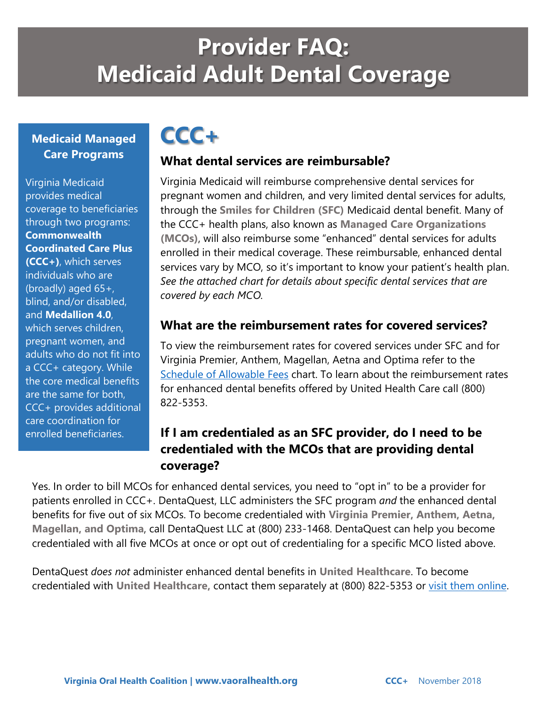# **Provider FAQ: Medicaid Adult Dental Coverage**

#### **Medicaid Managed Care Programs**

Virginia Medicaid provides medical coverage to beneficiaries through two programs: **Commonwealth Coordinated Care Plus (CCC+)**, which serves individuals who are (broadly) aged 65+, blind, and/or disabled, and **Medallion 4.0**, which serves children, pregnant women, and adults who do not fit into a CCC+ category. While the core medical benefits are the same for both, CCC+ provides additional care coordination for enrolled beneficiaries.

## **CCC+**

#### **What dental services are reimbursable?**

Virginia Medicaid will reimburse comprehensive dental services for pregnant women and children, and very limited dental services for adults, through the **Smiles for Children (SFC)** Medicaid dental benefit. Many of the CCC+ health plans, also known as **Managed Care Organizations (MCOs)**, will also reimburse some "enhanced" dental services for adults enrolled in their medical coverage. These reimbursable, enhanced dental services vary by MCO, so it's important to know your patient's health plan. *See the attached chart for details about specific dental services that are covered by each MCO.*

#### **What are the reimbursement rates for covered services?**

To view the reimbursement rates for covered services under SFC and for Virginia Premier, Anthem, Magellan, Aetna and Optima refer to the [Schedule of Allowable Fees](https://www.vaoralhealth.org/wp-content/uploads/2018/11/180330-VA-Smiles-For-Children-Fee-Schedule-10.18.pdf) chart. To learn about the reimbursement rates for enhanced dental benefits offered by United Health Care call (800) 822-5353.

## **If I am credentialed as an SFC provider, do I need to be credentialed with the MCOs that are providing dental coverage?**

Yes. In order to bill MCOs for enhanced dental services, you need to "opt in" to be a provider for patients enrolled in CCC+. DentaQuest, LLC administers the SFC program *and* the enhanced dental benefits for five out of six MCOs. To become credentialed with **Virginia Premier, Anthem, Aetna, Magellan, and Optima**, call DentaQuest LLC at (800) 233-1468. DentaQuest can help you become credentialed with all five MCOs at once or opt out of credentialing for a specific MCO listed above.

DentaQuest *does not* administer enhanced dental benefits in **United Healthcare**. To become credentialed with **United Healthcare,** contact them separately at (800) 822-5353 or [visit them online.](https://dbp.optum.com/content/dental-benefits-provider/en/joinournetwork.html)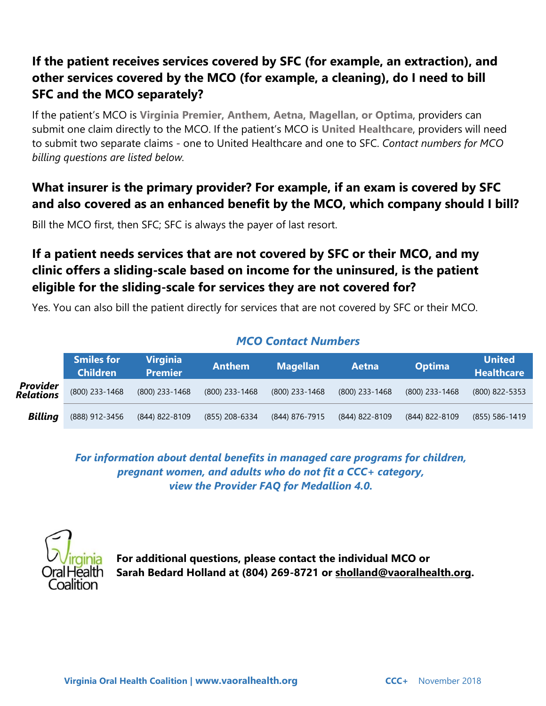## **If the patient receives services covered by SFC (for example, an extraction), and other services covered by the MCO (for example, a cleaning), do I need to bill SFC and the MCO separately?**

If the patient's MCO is **Virginia Premier, Anthem, Aetna, Magellan, or Optima**, providers can submit one claim directly to the MCO. If the patient's MCO is **United Healthcare**, providers will need to submit two separate claims - one to United Healthcare and one to SFC. *Contact numbers for MCO billing questions are listed below.*

## **What insurer is the primary provider? For example, if an exam is covered by SFC and also covered as an enhanced benefit by the MCO, which company should I bill?**

Bill the MCO first, then SFC; SFC is always the payer of last resort.

## **If a patient needs services that are not covered by SFC or their MCO, and my clinic offers a sliding-scale based on income for the uninsured, is the patient eligible for the sliding-scale for services they are not covered for?**

Yes. You can also bill the patient directly for services that are not covered by SFC or their MCO.

#### *MCO Contact Numbers*

|                                     | <b>Smiles for</b><br><b>Children</b> | <b>Virginia</b><br><b>Premier</b> | <b>Anthem</b>    | <b>Magellan</b> | Aetna            | <b>Optima</b>    | <b>United</b><br><b>Healthcare</b> |
|-------------------------------------|--------------------------------------|-----------------------------------|------------------|-----------------|------------------|------------------|------------------------------------|
| <b>Provider</b><br><b>Relations</b> | $(800)$ 233-1468                     | $(800)$ 233-1468                  | $(800)$ 233-1468 | (800) 233-1468  | $(800)$ 233-1468 | $(800)$ 233-1468 | (800) 822-5353                     |
| <b>Billing</b>                      | (888) 912-3456                       | (844) 822-8109                    | (855) 208-6334   | (844) 876-7915  | (844) 822-8109   | (844) 822-8109   | $(855)$ 586-1419                   |

*For information about dental benefits in managed care programs for children, pregnant women, and adults who do not fit a CCC+ category, view the Provider FAQ for Medallion 4.0.*



**For additional questions, please contact the individual MCO or Sarah Bedard Holland at (804) 269-8721 or sholland@vaoralhealth.org.**